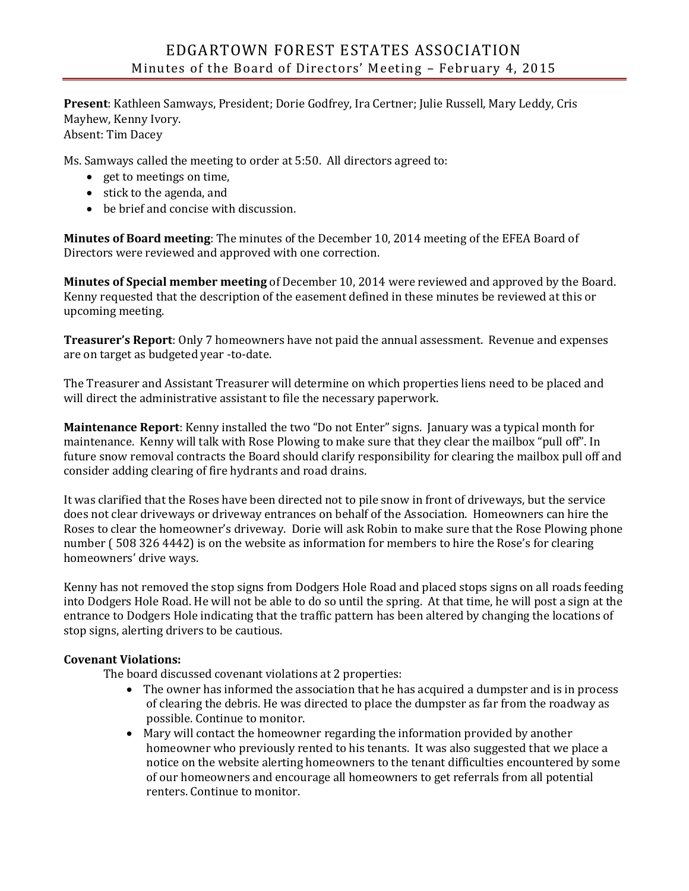**Present**: Kathleen Samways, President; Dorie Godfrey, Ira Certner; Julie Russell, Mary Leddy, Cris Mayhew, Kenny Ivory. Absent: Tim Dacey

Ms. Samways called the meeting to order at 5:50. All directors agreed to:

- get to meetings on time,
- stick to the agenda, and
- be brief and concise with discussion.

**Minutes of Board meeting**: The minutes of the December 10, 2014 meeting of the EFEA Board of Directors were reviewed and approved with one correction.

**Minutes of Special member meeting** of December 10, 2014 were reviewed and approved by the Board. Kenny requested that the description of the easement defined in these minutes be reviewed at this or upcoming meeting.

**Treasurer's Report**: Only 7 homeowners have not paid the annual assessment. Revenue and expenses are on target as budgeted year -to-date.

The Treasurer and Assistant Treasurer will determine on which properties liens need to be placed and will direct the administrative assistant to file the necessary paperwork.

**Maintenance Report**: Kenny installed the two "Do not Enter" signs. January was a typical month for maintenance. Kenny will talk with Rose Plowing to make sure that they clear the mailbox "pull off". In future snow removal contracts the Board should clarify responsibility for clearing the mailbox pull off and consider adding clearing of fire hydrants and road drains.

It was clarified that the Roses have been directed not to pile snow in front of driveways, but the service does not clear driveways or driveway entrances on behalf of the Association. Homeowners can hire the Roses to clear the homeowner's driveway. Dorie will ask Robin to make sure that the Rose Plowing phone number ( 508 326 4442) is on the website as information for members to hire the Rose's for clearing homeowners' drive ways.

Kenny has not removed the stop signs from Dodgers Hole Road and placed stops signs on all roads feeding into Dodgers Hole Road. He will not be able to do so until the spring. At that time, he will post a sign at the entrance to Dodgers Hole indicating that the traffic pattern has been altered by changing the locations of stop signs, alerting drivers to be cautious.

## **Covenant Violations:**

The board discussed covenant violations at 2 properties:

- The owner has informed the association that he has acquired a dumpster and is in process of clearing the debris. He was directed to place the dumpster as far from the roadway as possible. Continue to monitor.
- Mary will contact the homeowner regarding the information provided by another homeowner who previously rented to his tenants. It was also suggested that we place a notice on the website alerting homeowners to the tenant difficulties encountered by some of our homeowners and encourage all homeowners to get referrals from all potential renters. Continue to monitor.